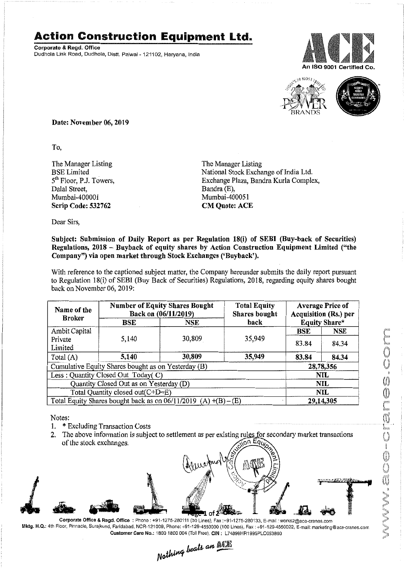## **Action Construction Equipment Ltd.**

Corporate & Regd. Office Dudhola Link Road, Dudhola, Distt. Palwal- 121102, Haryana, India





Date: November 06, 2019

To,

The Manager Listing BSE Limited 5<sup>th</sup> Floor, P.J. Towers, Dalal Street, Mumbai-400001 Scrip Code: 532762

The Manager Listing National Stock Exchange of India Ltd. Exchange Plaza, Bandra Kurla Complex, Bandra (E), Mumbai-400051 CM Quote: ACE

Dear Sirs,

## Subject: Submission of Daily Report as per Regulation 18(i) of SEBI (Buy-back of Securities) Regulations, 2018 - Buyback of equity shares by Action Construction Equipment Limited ("the Company") via open market through Stock Exchanges ('Buyback').

With reference to the captioned subject matter, the Company hereunder submits the daily report pursuant to Regulation 18(i) of SEBI (Buy Back of Securities) Regulations, 2018, regarding equity shares bought back on November 06, 2019:

| Name of the<br><b>Broker</b>                                        | <b>Number of Equity Shares Bought</b><br>Back on (06/11/2019) |        | <b>Total Equity</b><br>Shares bought | <b>Average Price of</b><br><b>Acquisition (Rs.) per</b> |            |  |
|---------------------------------------------------------------------|---------------------------------------------------------------|--------|--------------------------------------|---------------------------------------------------------|------------|--|
|                                                                     | <b>BSE</b>                                                    | NSE    | back                                 | <b>Equity Share*</b>                                    |            |  |
| Ambit Capital                                                       |                                                               |        |                                      | <b>BSE</b>                                              | <b>NSE</b> |  |
| Private                                                             | 5,140                                                         | 30,809 | 35,949                               | 83.84                                                   | 84.34      |  |
| Limited                                                             |                                                               |        |                                      |                                                         |            |  |
| Total $(A)$                                                         | 5,140                                                         | 30,809 | 35,949                               | 83.84                                                   | 84.34      |  |
| Cumulative Equity Shares bought as on Yesterday (B)                 |                                                               |        |                                      |                                                         | 28,78,356  |  |
| Less: Quantity Closed Out Today(C)                                  |                                                               |        |                                      | NIL                                                     |            |  |
| Quantity Closed Out as on Yesterday (D)                             |                                                               |        |                                      | <b>NIL</b>                                              |            |  |
| Total Quantity closed out $(C+D=E)$                                 |                                                               |        |                                      |                                                         | NIL        |  |
| Total Equity Shares bought back as on $06/11/2019$ (A) $+(B) - (E)$ |                                                               |        |                                      | 29,14,305                                               |            |  |

Notes:

- 1. \* Excluding Transaction Costs
- 2. The above information is subject to settlement as per existing rules for secondary market transactions of the stock exchanges. <sub>ແດ</sub>ກ Eq



Mktg. H.Q.: 4th Floor, Pinnacle, Surajkund, Faridabad, NCR-121009, Phone: +91-129-4550000 (100 Lines), Fax : +91-129-4550022, E-mail: marketing@ace-cranes.com

Customer Caro No.: 1800 1800 004 (Toll Free), CIN: L74899HR1995PLC053860<br>
Mathima beats an **Allia**